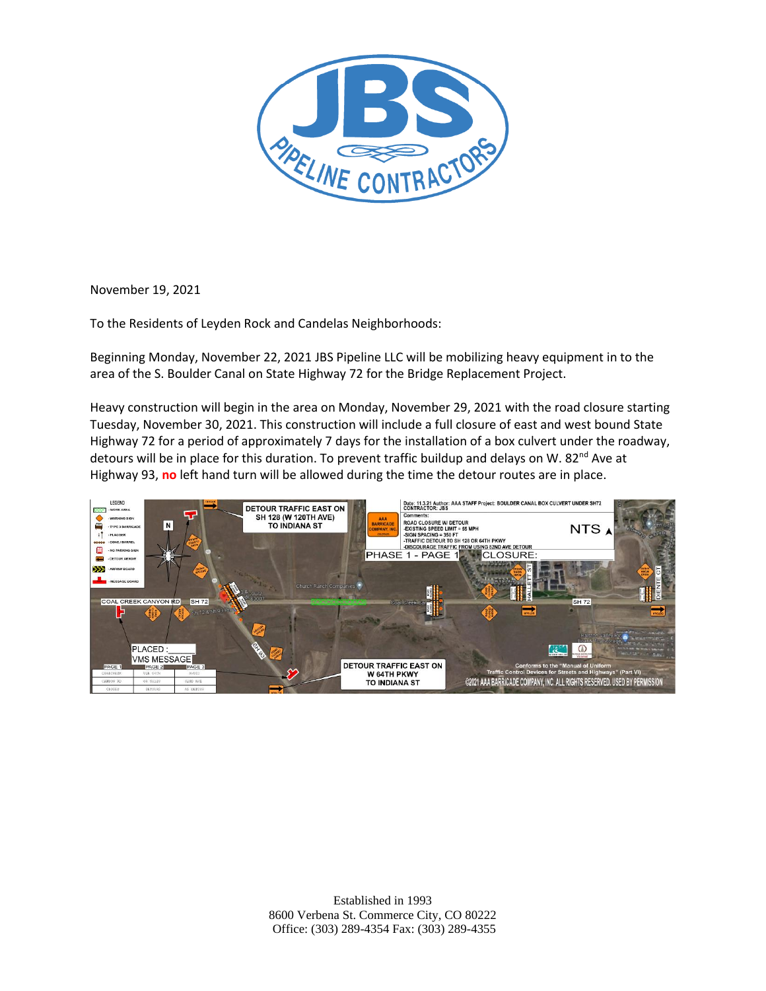

November 19, 2021

To the Residents of Leyden Rock and Candelas Neighborhoods:

Beginning Monday, November 22, 2021 JBS Pipeline LLC will be mobilizing heavy equipment in to the area of the S. Boulder Canal on State Highway 72 for the Bridge Replacement Project.

Heavy construction will begin in the area on Monday, November 29, 2021 with the road closure starting Tuesday, November 30, 2021. This construction will include a full closure of east and west bound State Highway 72 for a period of approximately 7 days for the installation of a box culvert under the roadway, detours will be in place for this duration. To prevent traffic buildup and delays on W. 82<sup>nd</sup> Ave at Highway 93, **no** left hand turn will be allowed during the time the detour routes are in place.